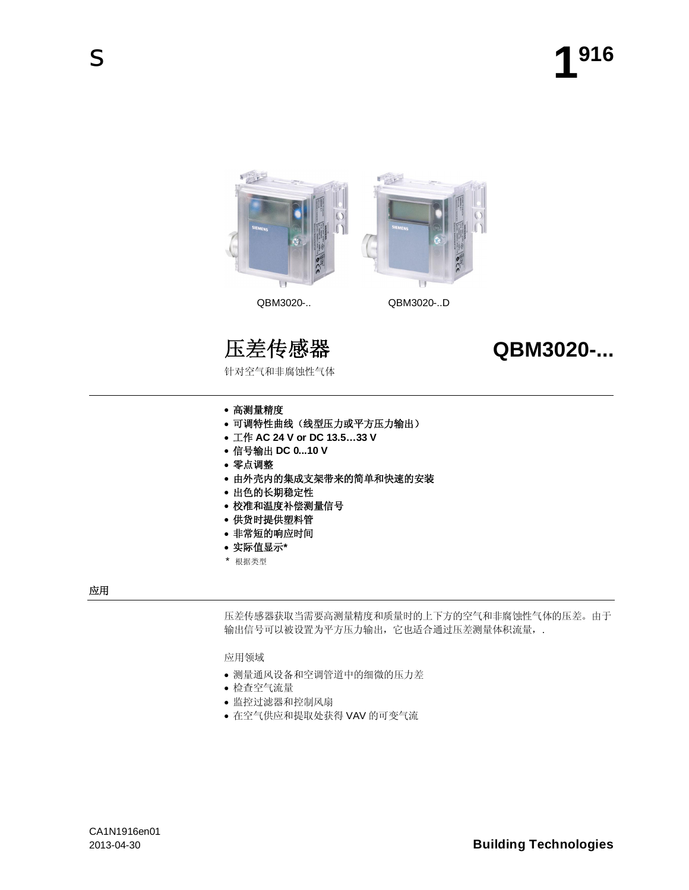

针对空气和非腐蚀性气体

# 压差传感器 **QBM3020-...**

- 高测量精度
- 可调特性曲线 (线型压力或平方压力输出)
- x Ꮉ **AC 24 V or DC 13.5…33 V**
- x ֵো䕧ߎ **DC 0...10 V**
- 零点调整
- 由外壳内的集成支架带来的简单和快速的安装
- 出色的长期稳定性
- 校准和温度补偿测量信号
- 供货时提供塑料管
- 非常短的响应时间
- 实际值显示\*
- \* 根据类型

# 应用

压差传感器获取当需要高测量精度和质量时的上下方的空气和非腐蚀性气体的压差。由于 输出信号可以被设置为平方压力输出,它也适合通过压差测量体积流量,.

应用领域

- 测量通风设备和空调管道中的细微的压力差
- 检查空气流量
- 监控过滤器和控制风扇
- 在空气供应和提取处获得 VAV 的可变气流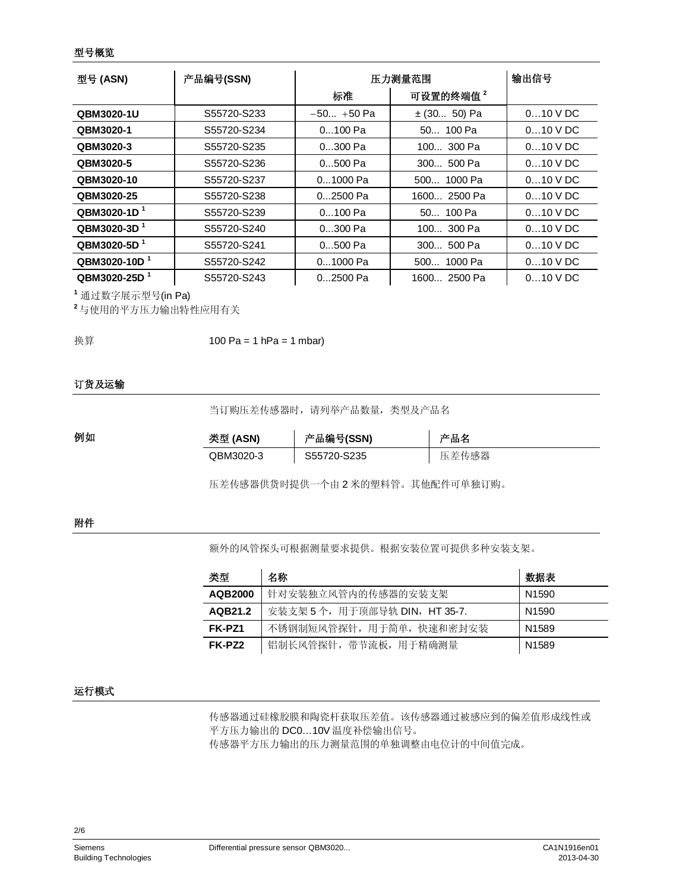#### 型号概览

| 型号 (ASN)                 | 产品编号(SSN)   | 压力测量范围        |                      | 输出信号       |
|--------------------------|-------------|---------------|----------------------|------------|
|                          |             | 标准            | 可设置的终端值 <sup>2</sup> |            |
| QBM3020-1U               | S55720-S233 | $-50 + 50$ Pa | $\pm$ (30 50) Pa     | $010$ V DC |
| QBM3020-1                | S55720-S234 | $0100$ Pa     | $50$ 100 Pa          | $010$ V DC |
| QBM3020-3                | S55720-S235 | 0300 Pa       | 100 300 Pa           | $010$ V DC |
| QBM3020-5                | S55720-S236 | $0500$ Pa     | 300 500 Pa           | $010$ V DC |
| QBM3020-10               | S55720-S237 | 01000 Pa      | 500 1000 Pa          | $010$ V DC |
| QBM3020-25               | S55720-S238 | 02500 Pa      | 1600 2500 Pa         | $010$ V DC |
| QBM3020-1D <sup>1</sup>  | S55720-S239 | $0100$ Pa     | 50 100 Pa            | $010$ V DC |
| QBM3020-3D <sup>1</sup>  | S55720-S240 | 0300 Pa       | 100 300 Pa           | $010$ V DC |
| QBM3020-5D <sup>1</sup>  | S55720-S241 | $0500$ Pa     | $300$ 500 Pa         | $010$ V DC |
| QBM3020-10D <sup>1</sup> | S55720-S242 | 01000 Pa      | 500 1000 Pa          | $010$ V DC |
| QBM3020-25D <sup>1</sup> | S55720-S243 | 02500 Pa      | 1600 2500 Pa         | $010$ V DC |

1 通过数字展示型号(in Pa)

 $2$ 与使用的平方压力输出特性应用有关

100 Pa = 1  $hPa = 1$  mbar) 换算

# 订货及运输

当订购压差传感器时,请列举产品数量,类型及产品名

| 例如 | 类型 (ASN)  | 产品编号(SSN)   | 产品名   |
|----|-----------|-------------|-------|
|    | QBM3020-3 | S55720-S235 | 压差传感器 |

压差传感器供货时提供一个由2米的塑料管。其他配件可单独订购。

#### 附件

额外的风管探头可根据测量要求提供。根据安装位置可提供多种安装支架。

| 类型             | 名称                            | 数据表               |
|----------------|-------------------------------|-------------------|
| <b>AQB2000</b> | 针对安装独立风管内的传感器的安装支架            | N <sub>1590</sub> |
| AQB21.2        | 安装支架 5个, 用于顶部导轨 DIN, HT 35-7. | N <sub>1590</sub> |
| FK-PZ1         | 不锈钢制短风管探针, 用于简单, 快速和密封安装      | N <sub>1589</sub> |
| FK-PZ2         | 铝制长风管探针, 带节流板, 用于精确测量         | N <sub>1589</sub> |

## 运行模式

传感器通过硅橡胶膜和陶瓷杆获取压差值。该传感器通过被感应到的偏差值形成线性或 平方压力输出的 DC0...10V 温度补偿输出信号。 传感器平方压力输出的压力测量范围的单独调整由电位计的中间值完成。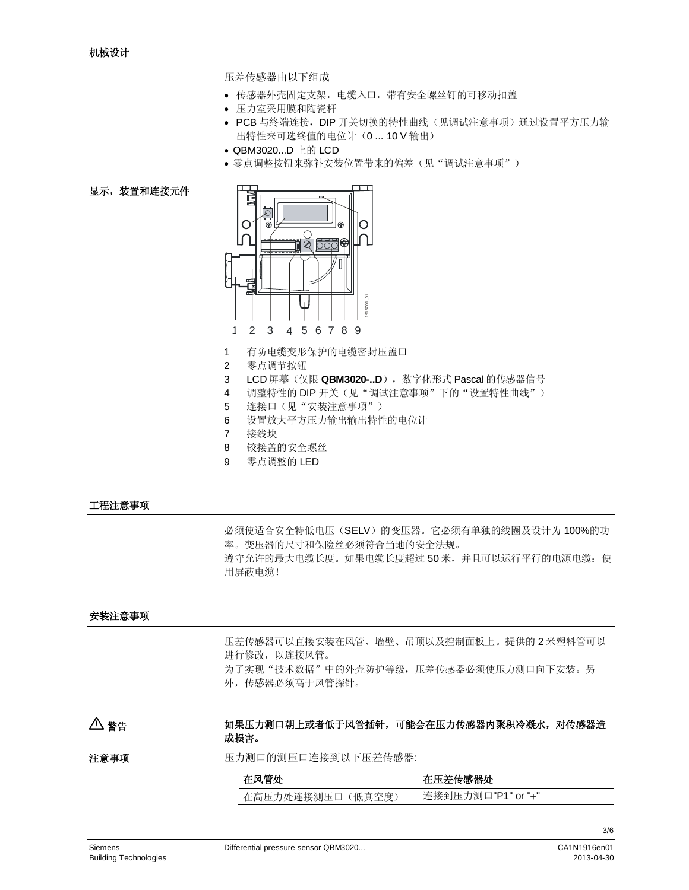压差传感器由以下组成

- 传感器外壳固定支架, 电缆入口, 带有安全螺丝钉的可移动扣盖
- 压力室采用膜和陶瓷杆
- PCB 与终端连接, DIP 开关切换的特性曲线(见调试注意事项) 通过设置平方压力输 出特性来可选终值的电位计 (0 ... 10 V 输出)
- QBM3020...D 上的 LCD
- 零点调整按钮来弥补安装位置带来的偏差(见"调试注意事项")

# 显示,装置和连接元件



- 1 有防电缆变形保护的电缆密封压盖口
- 2 零点调节按钮
- 3 LCD 屏幕 (仅限 QBM3020-..D), 数字化形式 Pascal 的传感器信号
- 4 调整特性的 DIP 开关(见"调试注意事项"下的"设置特性曲线")
- 5 连接口(见"安装注意事项")
- 6 设置放大平方压力输出输出特性的电位计
- 7 接线块
- 8 铰接盖的安全螺丝
- 9 零点调整的 LED

# 工程注意事项

必须使适合安全特低电压(SELV)的变压器。它必须有单独的线圈及设计为100%的功 率。变压器的尺寸和保险丝必须符合当地的安全法规。 遵守允许的最大电缆长度。如果电缆长度超过50米,并且可以运行平行的电源电缆:使 用屏蔽电缆!

## 安装注意事项

压差传感器可以直接安装在风管、墙壁、吊顶以及控制面板上。提供的2米塑料管可以 进行修改, 以连接风管。 为了实现"技术数据"中的外壳防护等级,压差传感器必须使压力测口向下安装。另 外, 传感器必须高于风管探针。

#### 如果压力测口朝上或者低于风管插针,可能会在压力传感器内聚积冷凝水,对传感器造 成损害。 △ 警告

压力测口的测压口连接到以下压差传感器: 注意事项

| 在风管处              | 在压差传感器处            |
|-------------------|--------------------|
| 在高压力处连接测压口 (低真空度) | 连接到压力测口"P1" or "+" |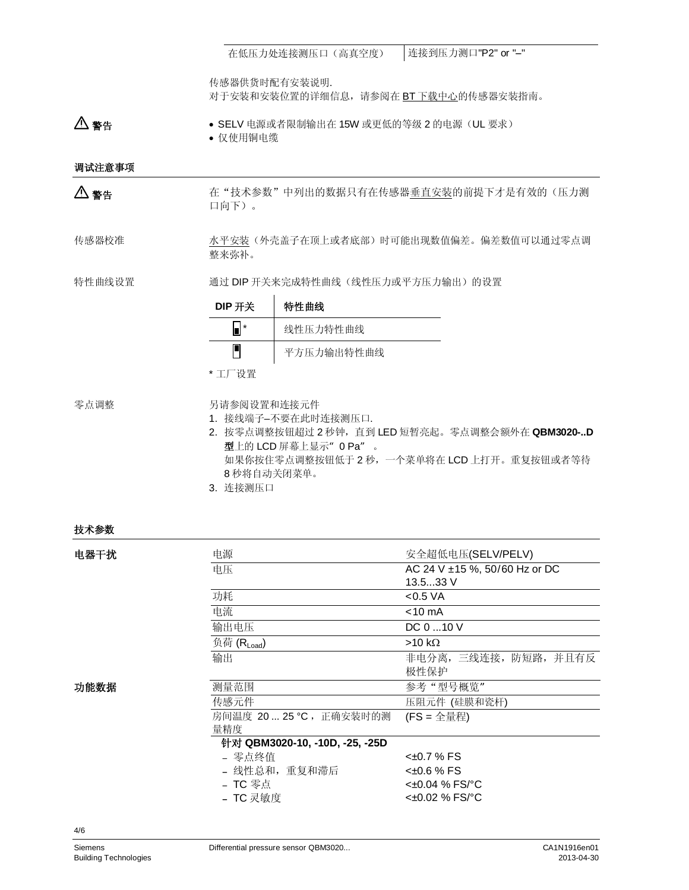在低压力处连接测压口(高真空度) | 连接到压力测口"P2" or "-"

传感器供货时配有安装说明. 对于安装和安装位置的详细信息,请参阅在BT 下载中心的传感器安装指南。

● SELV 电源或者限制输出在 15W 或更低的等级 2 的电源(UL 要求) • 仅使用铜电缆 䄺ਞ

调试注意事项

 $\Delta$  警告

在"技术参数"中列出的数据只有在传感器垂直安装的前提下才是有效的(压力测 口向下)。

水平安装(外壳盖子在顶上或者底部)时可能出现数值偏差。偏差数值可以通过零点调 整来弥补。 传感器校准

通过 DIP 开关来完成特性曲线(线性压力或平方压力输出)的设置 特性曲线设置

| DIP 开关 | 特性曲线       |
|--------|------------|
|        | 线性压力特性曲线   |
|        | 平方压力输出特性曲线 |

\* 工厂设置

零点调整

另请参阅设置和连接元件

- 1. 接线端子–不要在此时连接测压口.
- 2. 按零点调整按钮超过2秒钟, 直到 LED 短暂亮起。零点调整会额外在 QBM3020-..D 型上的 LCD 屏幕上显示"O Pa"。 如果你按住零点调整按钮低于2秒,一个菜单将在 LCD 上打开。重复按钮或者等待 8 秒将自动关闭菜单。
- 3. 连接测压口

#### 技术参数

| 电器干扰 | 电源                             | 安全超低电压(SELV/PELV)                  |  |  |
|------|--------------------------------|------------------------------------|--|--|
|      | 电压                             | AC 24 V $\pm$ 15 %, 50/60 Hz or DC |  |  |
|      |                                | 13.533V                            |  |  |
|      | 功耗                             | $<$ 0.5 VA                         |  |  |
|      | 电流                             | $<$ 10 mA                          |  |  |
|      | 输出电压                           | $DC 0$ 10 V                        |  |  |
|      | 负荷 (RLoad)                     | $>10 k\Omega$                      |  |  |
|      | 输出                             | 非电分离, 三线连接, 防短路, 并且有反              |  |  |
|      |                                | 极性保护                               |  |  |
| 功能数据 | 测量范围                           | 参考"型号概览"                           |  |  |
|      | 传感元件                           | 压阻元件 (硅膜和瓷杆)                       |  |  |
|      | 房间温度 20  25 ℃ ,正确安装时的测         | $(FS = 2 \pm \frac{1}{2}$          |  |  |
|      | 量精度                            |                                    |  |  |
|      | 针对 QBM3020-10, -10D, -25, -25D |                                    |  |  |
|      | - 零点终值                         | <±0.7 % FS                         |  |  |
|      | - 线性总和,重复和滞后                   | <±0.6 % FS                         |  |  |
|      | - TC 零点                        | $<±0.04$ % FS/ $^{\circ}$ C        |  |  |
|      | - TC 灵敏度                       | $<$ ±0.02 % FS/ $^{\circ}$ C       |  |  |
|      |                                |                                    |  |  |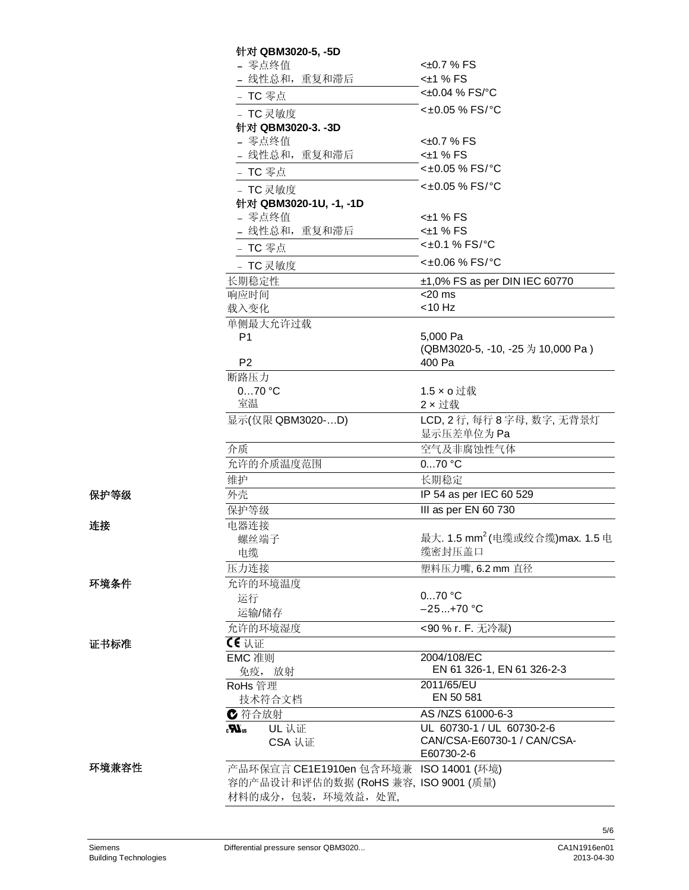|       | 针对 QBM3020-5, -5D                      |                                            |
|-------|----------------------------------------|--------------------------------------------|
|       | - 零点终值                                 | $<\pm 0.7$ % FS                            |
|       | - 线性总和, 重复和滞后                          | $<\pm 1$ % FS                              |
|       | - TC 零点                                | <±0.04 % FS/°C                             |
|       | - TC 灵敏度                               | <±0.05 % FS/°C                             |
|       | 针对 QBM3020-3. -3D                      |                                            |
|       | - 零点终值                                 | <±0.7 % FS                                 |
|       | - 线性总和, 重复和滞后                          | $<\pm 1$ % FS                              |
|       | - TC 零点                                | <±0.05 % FS/°C                             |
|       | - TC 灵敏度                               | <±0.05 % FS/°C                             |
|       | 针对 QBM3020-1U, -1, -1D                 |                                            |
|       | - 零点终值                                 | $<$ ±1 % FS                                |
|       | - 线性总和, 重复和滞后                          | $<\pm 1$ % FS                              |
|       | - TC 零点                                | <±0.1 % FS/°C                              |
|       | - TC 灵敏度                               | <±0.06 % FS/°C                             |
|       | 长期稳定性                                  | $±1,0\%$ FS as per DIN IEC 60770           |
|       | 响应时间                                   | $<$ 20 ms                                  |
|       | 载入变化                                   | < 10 Hz                                    |
|       | 单侧最大允许过载                               |                                            |
|       | P <sub>1</sub>                         | 5,000 Pa                                   |
|       |                                        | (QBM3020-5, -10, -25 为 10,000 Pa)          |
|       | P <sub>2</sub>                         | 400 Pa                                     |
|       | 断路压力                                   |                                            |
|       | $070$ °C                               | 1.5 x o 过载                                 |
|       | 室温                                     | 2 x 过载                                     |
|       | 显示(仅限 QBM3020-D)                       | LCD, 2 行, 每行 8 字母, 数字, 无背景灯<br>显示压差单位为Pa   |
|       | 介质                                     | 空气及非腐蚀性气体                                  |
|       | 允许的介质温度范围                              | $070$ °C                                   |
|       | 维护                                     | 长期稳定                                       |
| 保护等级  | 外壳                                     | IP 54 as per IEC 60 529                    |
|       | 保护等级                                   | III as per EN 60 730                       |
| 连接    | 电器连接                                   |                                            |
|       | 螺丝端子                                   | 最大. 1.5 mm <sup>2</sup> (电缆或绞合缆)max. 1.5 电 |
|       | 电缆                                     | 缆密封压盖口                                     |
|       | 压力连接                                   | 塑料压力嘴, 6.2 mm 直径                           |
| 环境条件  | 允许的环境温度                                |                                            |
|       | 运行                                     | $070$ °C                                   |
|       | 运输/储存                                  | $-25+70$ °C                                |
|       | 允许的环境湿度                                | <90 % r. F. 无冷凝)                           |
| 证书标准  | 【€认证                                   |                                            |
|       | EMC 准则<br>免疫, 放射                       | 2004/108/EC<br>EN 61 326-1, EN 61 326-2-3  |
|       | RoHs 管理                                | 2011/65/EU                                 |
|       | 技术符合文档                                 | EN 50 581                                  |
|       | ← 符合放射                                 | AS /NZS 61000-6-3                          |
|       | UL 认证<br>$\mathbf{W}_\mathrm{us}$      | UL 60730-1 / UL 60730-2-6                  |
|       | CSA 认证                                 | CAN/CSA-E60730-1 / CAN/CSA-                |
|       |                                        | E60730-2-6                                 |
| 环境兼容性 | 产品环保宣言 CE1E1910en 包含环境兼 ISO 14001 (环境) |                                            |
|       | 容的产品设计和评估的数据 (RoHS 兼容, ISO 9001 (质量)   |                                            |
|       | 材料的成分,包装,环境效益,处置,                      |                                            |
|       |                                        |                                            |

5/6